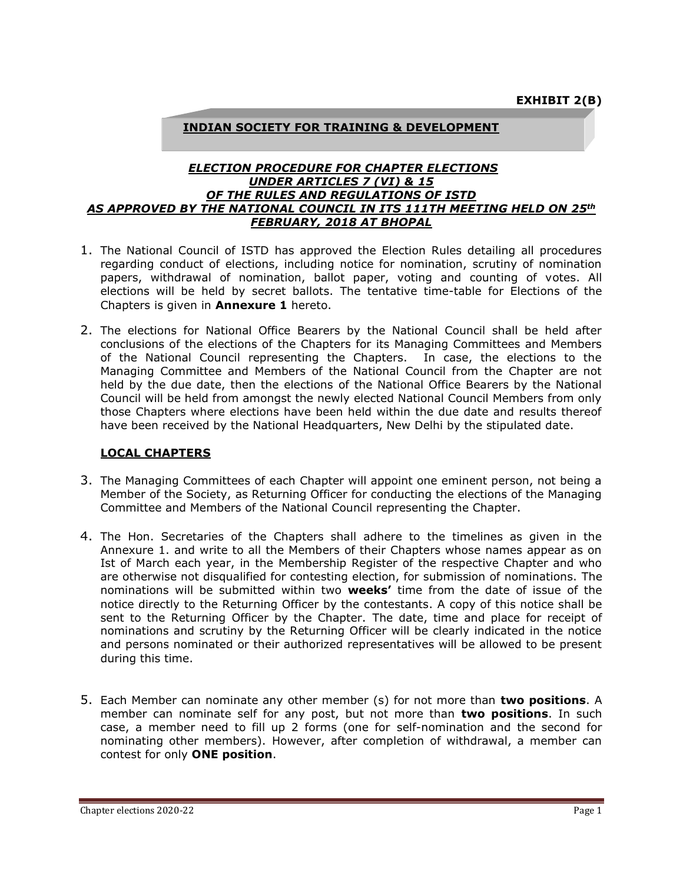## **INDIAN SOCIETY FOR TRAINING & DEVELOPMENT**

#### *ELECTION PROCEDURE FOR CHAPTER ELECTIONS UNDER ARTICLES 7 (VI) & 15 OF THE RULES AND REGULATIONS OF ISTD AS APPROVED BY THE NATIONAL COUNCIL IN ITS 111TH MEETING HELD ON 25th FEBRUARY, 2018 AT BHOPAL*

- 1. The National Council of ISTD has approved the Election Rules detailing all procedures regarding conduct of elections, including notice for nomination, scrutiny of nomination papers, withdrawal of nomination, ballot paper, voting and counting of votes. All elections will be held by secret ballots. The tentative time-table for Elections of the Chapters is given in **Annexure 1** hereto.
- 2. The elections for National Office Bearers by the National Council shall be held after conclusions of the elections of the Chapters for its Managing Committees and Members of the National Council representing the Chapters. In case, the elections to the Managing Committee and Members of the National Council from the Chapter are not held by the due date, then the elections of the National Office Bearers by the National Council will be held from amongst the newly elected National Council Members from only those Chapters where elections have been held within the due date and results thereof have been received by the National Headquarters, New Delhi by the stipulated date.

#### **LOCAL CHAPTERS**

- 3. The Managing Committees of each Chapter will appoint one eminent person, not being a Member of the Society, as Returning Officer for conducting the elections of the Managing Committee and Members of the National Council representing the Chapter.
- 4. The Hon. Secretaries of the Chapters shall adhere to the timelines as given in the Annexure 1. and write to all the Members of their Chapters whose names appear as on Ist of March each year, in the Membership Register of the respective Chapter and who are otherwise not disqualified for contesting election, for submission of nominations. The nominations will be submitted within two **weeks'** time from the date of issue of the notice directly to the Returning Officer by the contestants. A copy of this notice shall be sent to the Returning Officer by the Chapter. The date, time and place for receipt of nominations and scrutiny by the Returning Officer will be clearly indicated in the notice and persons nominated or their authorized representatives will be allowed to be present during this time.
- 5. Each Member can nominate any other member (s) for not more than **two positions**. A member can nominate self for any post, but not more than **two positions**. In such case, a member need to fill up 2 forms (one for self-nomination and the second for nominating other members). However, after completion of withdrawal, a member can contest for only **ONE position**.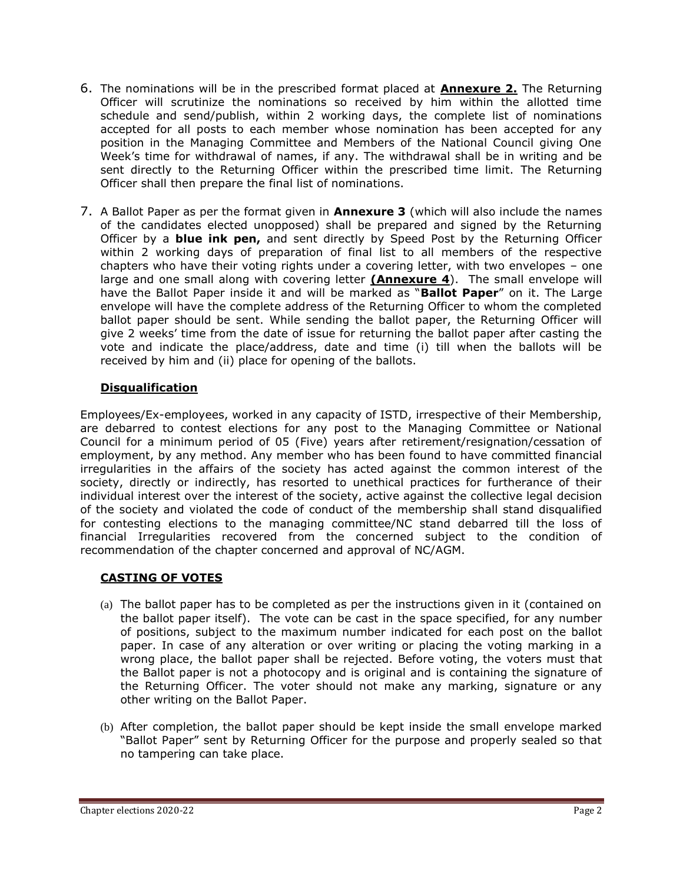- 6. The nominations will be in the prescribed format placed at **Annexure 2.** The Returning Officer will scrutinize the nominations so received by him within the allotted time schedule and send/publish, within 2 working days, the complete list of nominations accepted for all posts to each member whose nomination has been accepted for any position in the Managing Committee and Members of the National Council giving One Week's time for withdrawal of names, if any. The withdrawal shall be in writing and be sent directly to the Returning Officer within the prescribed time limit. The Returning Officer shall then prepare the final list of nominations.
- 7. A Ballot Paper as per the format given in **Annexure 3** (which will also include the names of the candidates elected unopposed) shall be prepared and signed by the Returning Officer by a **blue ink pen,** and sent directly by Speed Post by the Returning Officer within 2 working days of preparation of final list to all members of the respective chapters who have their voting rights under a covering letter, with two envelopes – one large and one small along with covering letter **(Annexure 4**). The small envelope will have the Ballot Paper inside it and will be marked as "**Ballot Paper**" on it. The Large envelope will have the complete address of the Returning Officer to whom the completed ballot paper should be sent. While sending the ballot paper, the Returning Officer will give 2 weeks' time from the date of issue for returning the ballot paper after casting the vote and indicate the place/address, date and time (i) till when the ballots will be received by him and (ii) place for opening of the ballots.

# **Disqualification**

Employees/Ex-employees, worked in any capacity of ISTD, irrespective of their Membership, are debarred to contest elections for any post to the Managing Committee or National Council for a minimum period of 05 (Five) years after retirement/resignation/cessation of employment, by any method. Any member who has been found to have committed financial irregularities in the affairs of the society has acted against the common interest of the society, directly or indirectly, has resorted to unethical practices for furtherance of their individual interest over the interest of the society, active against the collective legal decision of the society and violated the code of conduct of the membership shall stand disqualified for contesting elections to the managing committee/NC stand debarred till the loss of financial Irregularities recovered from the concerned subject to the condition of recommendation of the chapter concerned and approval of NC/AGM.

# **CASTING OF VOTES**

- (a) The ballot paper has to be completed as per the instructions given in it (contained on the ballot paper itself). The vote can be cast in the space specified, for any number of positions, subject to the maximum number indicated for each post on the ballot paper. In case of any alteration or over writing or placing the voting marking in a wrong place, the ballot paper shall be rejected. Before voting, the voters must that the Ballot paper is not a photocopy and is original and is containing the signature of the Returning Officer. The voter should not make any marking, signature or any other writing on the Ballot Paper.
- (b) After completion, the ballot paper should be kept inside the small envelope marked "Ballot Paper" sent by Returning Officer for the purpose and properly sealed so that no tampering can take place.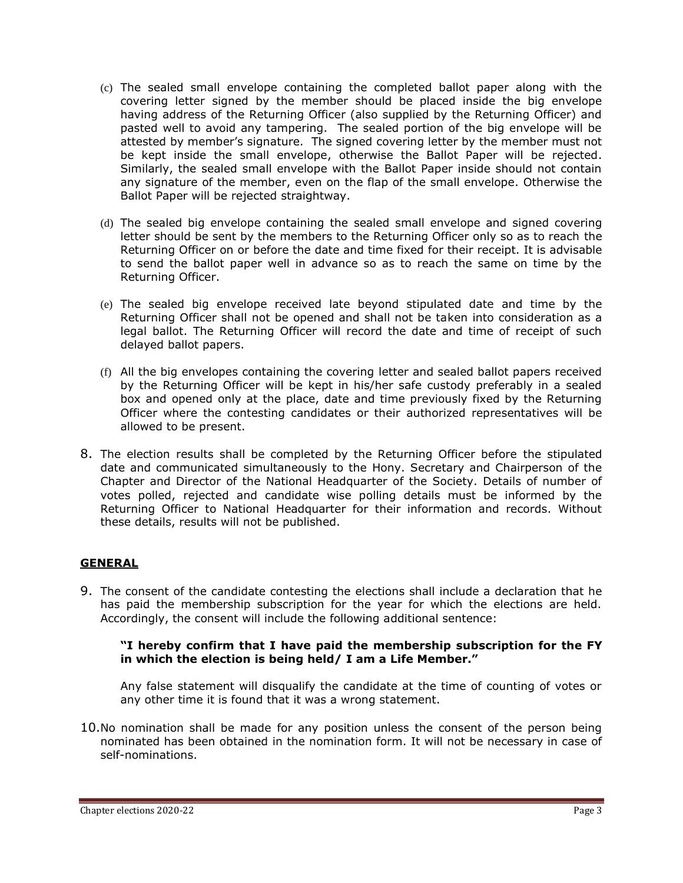- (c) The sealed small envelope containing the completed ballot paper along with the covering letter signed by the member should be placed inside the big envelope having address of the Returning Officer (also supplied by the Returning Officer) and pasted well to avoid any tampering. The sealed portion of the big envelope will be attested by member's signature. The signed covering letter by the member must not be kept inside the small envelope, otherwise the Ballot Paper will be rejected. Similarly, the sealed small envelope with the Ballot Paper inside should not contain any signature of the member, even on the flap of the small envelope. Otherwise the Ballot Paper will be rejected straightway.
- (d) The sealed big envelope containing the sealed small envelope and signed covering letter should be sent by the members to the Returning Officer only so as to reach the Returning Officer on or before the date and time fixed for their receipt. It is advisable to send the ballot paper well in advance so as to reach the same on time by the Returning Officer.
- (e) The sealed big envelope received late beyond stipulated date and time by the Returning Officer shall not be opened and shall not be taken into consideration as a legal ballot. The Returning Officer will record the date and time of receipt of such delayed ballot papers.
- (f) All the big envelopes containing the covering letter and sealed ballot papers received by the Returning Officer will be kept in his/her safe custody preferably in a sealed box and opened only at the place, date and time previously fixed by the Returning Officer where the contesting candidates or their authorized representatives will be allowed to be present.
- 8. The election results shall be completed by the Returning Officer before the stipulated date and communicated simultaneously to the Hony. Secretary and Chairperson of the Chapter and Director of the National Headquarter of the Society. Details of number of votes polled, rejected and candidate wise polling details must be informed by the Returning Officer to National Headquarter for their information and records. Without these details, results will not be published.

# **GENERAL**

9. The consent of the candidate contesting the elections shall include a declaration that he has paid the membership subscription for the year for which the elections are held. Accordingly, the consent will include the following additional sentence:

#### **"I hereby confirm that I have paid the membership subscription for the FY in which the election is being held/ I am a Life Member."**

Any false statement will disqualify the candidate at the time of counting of votes or any other time it is found that it was a wrong statement.

10.No nomination shall be made for any position unless the consent of the person being nominated has been obtained in the nomination form. It will not be necessary in case of self-nominations.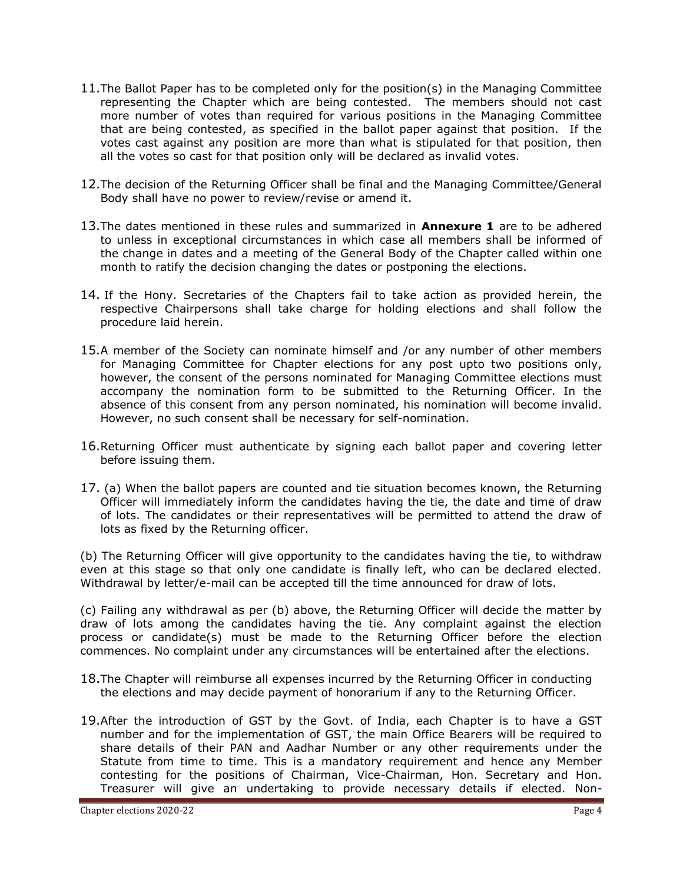- 11.The Ballot Paper has to be completed only for the position(s) in the Managing Committee representing the Chapter which are being contested. The members should not cast more number of votes than required for various positions in the Managing Committee that are being contested, as specified in the ballot paper against that position. If the votes cast against any position are more than what is stipulated for that position, then all the votes so cast for that position only will be declared as invalid votes.
- 12.The decision of the Returning Officer shall be final and the Managing Committee/General Body shall have no power to review/revise or amend it.
- 13.The dates mentioned in these rules and summarized in **Annexure 1** are to be adhered to unless in exceptional circumstances in which case all members shall be informed of the change in dates and a meeting of the General Body of the Chapter called within one month to ratify the decision changing the dates or postponing the elections.
- 14. If the Hony. Secretaries of the Chapters fail to take action as provided herein, the respective Chairpersons shall take charge for holding elections and shall follow the procedure laid herein.
- 15.A member of the Society can nominate himself and /or any number of other members for Managing Committee for Chapter elections for any post upto two positions only, however, the consent of the persons nominated for Managing Committee elections must accompany the nomination form to be submitted to the Returning Officer. In the absence of this consent from any person nominated, his nomination will become invalid. However, no such consent shall be necessary for self-nomination.
- 16.Returning Officer must authenticate by signing each ballot paper and covering letter before issuing them.
- 17. (a) When the ballot papers are counted and tie situation becomes known, the Returning Officer will immediately inform the candidates having the tie, the date and time of draw of lots. The candidates or their representatives will be permitted to attend the draw of lots as fixed by the Returning officer.

(b) The Returning Officer will give opportunity to the candidates having the tie, to withdraw even at this stage so that only one candidate is finally left, who can be declared elected. Withdrawal by letter/e-mail can be accepted till the time announced for draw of lots.

(c) Failing any withdrawal as per (b) above, the Returning Officer will decide the matter by draw of lots among the candidates having the tie. Any complaint against the election process or candidate(s) must be made to the Returning Officer before the election commences. No complaint under any circumstances will be entertained after the elections.

- 18.The Chapter will reimburse all expenses incurred by the Returning Officer in conducting the elections and may decide payment of honorarium if any to the Returning Officer.
- 19.After the introduction of GST by the Govt. of India, each Chapter is to have a GST number and for the implementation of GST, the main Office Bearers will be required to share details of their PAN and Aadhar Number or any other requirements under the Statute from time to time. This is a mandatory requirement and hence any Member contesting for the positions of Chairman, Vice-Chairman, Hon. Secretary and Hon. Treasurer will give an undertaking to provide necessary details if elected. Non-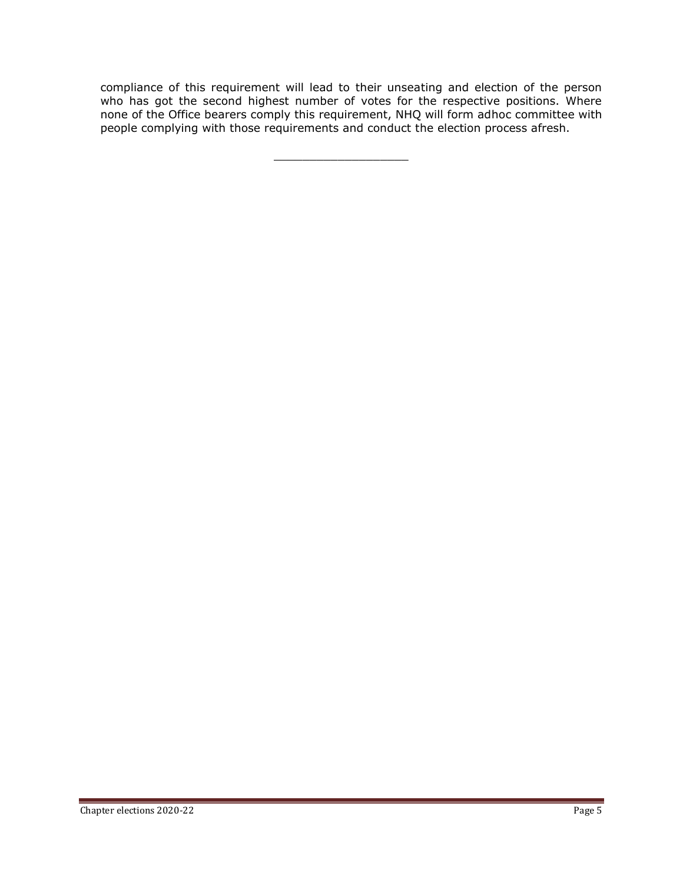compliance of this requirement will lead to their unseating and election of the person who has got the second highest number of votes for the respective positions. Where none of the Office bearers comply this requirement, NHQ will form adhoc committee with people complying with those requirements and conduct the election process afresh.

\_\_\_\_\_\_\_\_\_\_\_\_\_\_\_\_\_\_\_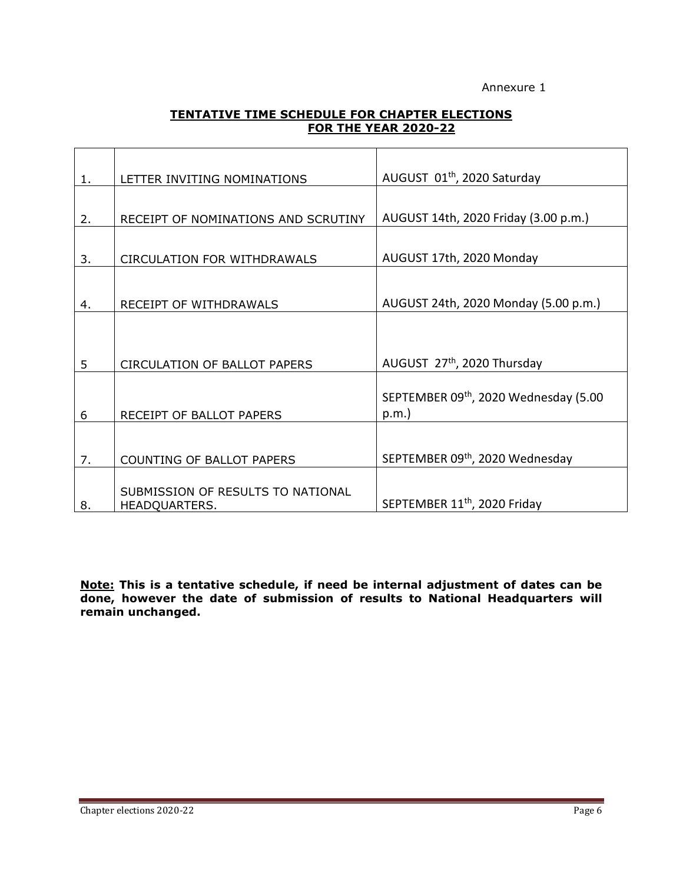### Annexure 1

## **TENTATIVE TIME SCHEDULE FOR CHAPTER ELECTIONS FOR THE YEAR 2020-22**

| 1. | LETTER INVITING NOMINATIONS         | AUGUST 01 <sup>th</sup> , 2020 Saturday  |
|----|-------------------------------------|------------------------------------------|
|    |                                     |                                          |
| 2. | RECEIPT OF NOMINATIONS AND SCRUTINY | AUGUST 14th, 2020 Friday (3.00 p.m.)     |
|    |                                     |                                          |
| 3. | <b>CIRCULATION FOR WITHDRAWALS</b>  | AUGUST 17th, 2020 Monday                 |
|    |                                     |                                          |
| 4. | RECEIPT OF WITHDRAWALS              | AUGUST 24th, 2020 Monday (5.00 p.m.)     |
|    |                                     |                                          |
|    |                                     |                                          |
| 5  | <b>CIRCULATION OF BALLOT PAPERS</b> | AUGUST 27th, 2020 Thursday               |
|    |                                     |                                          |
|    |                                     | SEPTEMBER 09th, 2020 Wednesday (5.00     |
| 6  | RECEIPT OF BALLOT PAPERS            | p.m.                                     |
|    |                                     |                                          |
| 7. | COUNTING OF BALLOT PAPERS           | SEPTEMBER 09th, 2020 Wednesday           |
|    |                                     |                                          |
|    | SUBMISSION OF RESULTS TO NATIONAL   |                                          |
| 8. | HEADQUARTERS.                       | SEPTEMBER 11 <sup>th</sup> , 2020 Friday |

**Note: This is a tentative schedule, if need be internal adjustment of dates can be done, however the date of submission of results to National Headquarters will remain unchanged.**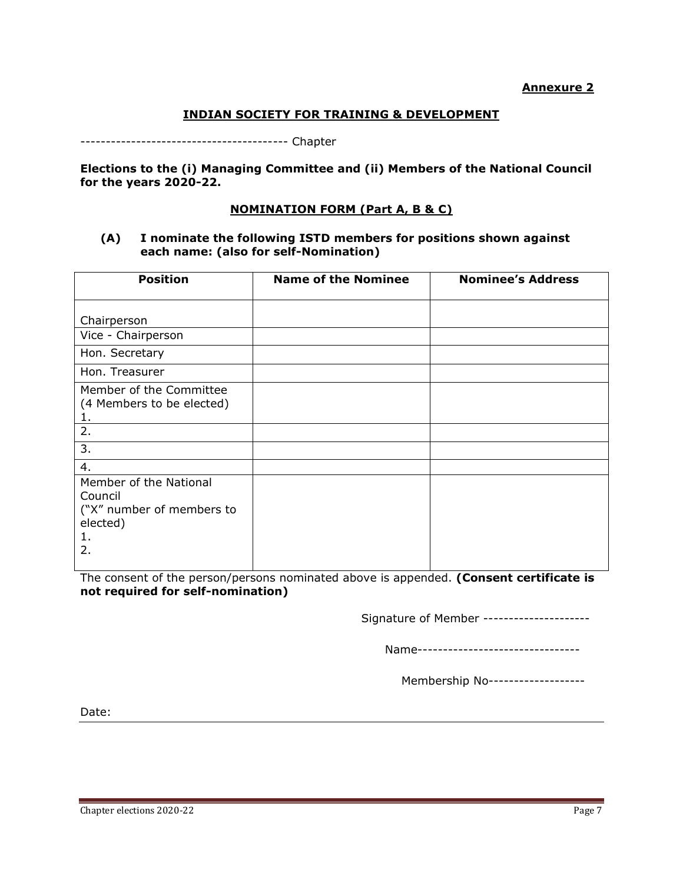#### **Annexure 2**

#### **INDIAN SOCIETY FOR TRAINING & DEVELOPMENT**

----------------------------------------- Chapter

**Elections to the (i) Managing Committee and (ii) Members of the National Council for the years 2020-22.**

#### **NOMINATION FORM (Part A, B & C)**

#### **(A) I nominate the following ISTD members for positions shown against each name: (also for self-Nomination)**

| <b>Position</b>                                                                        | <b>Name of the Nominee</b> | <b>Nominee's Address</b> |  |  |
|----------------------------------------------------------------------------------------|----------------------------|--------------------------|--|--|
| Chairperson                                                                            |                            |                          |  |  |
| Vice - Chairperson                                                                     |                            |                          |  |  |
| Hon. Secretary                                                                         |                            |                          |  |  |
| Hon. Treasurer                                                                         |                            |                          |  |  |
| Member of the Committee<br>(4 Members to be elected)<br>1.                             |                            |                          |  |  |
| 2.                                                                                     |                            |                          |  |  |
| 3.                                                                                     |                            |                          |  |  |
| 4.                                                                                     |                            |                          |  |  |
| Member of the National<br>Council<br>("X" number of members to<br>elected)<br>1.<br>2. |                            |                          |  |  |

The consent of the person/persons nominated above is appended. **(Consent certificate is not required for self-nomination)**

Signature of Member ---------------------

Name----------------------------------

Membership No-------------------

Date: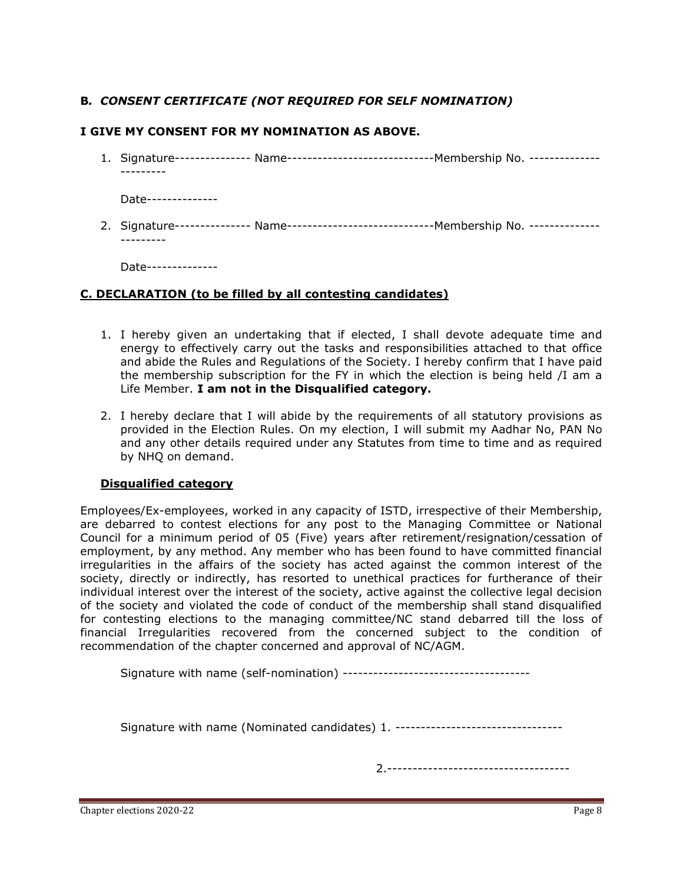# **B***. CONSENT CERTIFICATE (NOT REQUIRED FOR SELF NOMINATION)*

## **I GIVE MY CONSENT FOR MY NOMINATION AS ABOVE.**

1. Signature--------------- Name-----------------------------Membership No. -------------- ---------

Date--------------

2. Signature--------------- Name---------------------------------- Membership No. -----------------------

Date--------------

## **C. DECLARATION (to be filled by all contesting candidates)**

- 1. I hereby given an undertaking that if elected, I shall devote adequate time and energy to effectively carry out the tasks and responsibilities attached to that office and abide the Rules and Regulations of the Society. I hereby confirm that I have paid the membership subscription for the FY in which the election is being held /I am a Life Member. **I am not in the Disqualified category.**
- 2. I hereby declare that I will abide by the requirements of all statutory provisions as provided in the Election Rules. On my election, I will submit my Aadhar No, PAN No and any other details required under any Statutes from time to time and as required by NHQ on demand.

#### **Disqualified category**

Employees/Ex-employees, worked in any capacity of ISTD, irrespective of their Membership, are debarred to contest elections for any post to the Managing Committee or National Council for a minimum period of 05 (Five) years after retirement/resignation/cessation of employment, by any method. Any member who has been found to have committed financial irregularities in the affairs of the society has acted against the common interest of the society, directly or indirectly, has resorted to unethical practices for furtherance of their individual interest over the interest of the society, active against the collective legal decision of the society and violated the code of conduct of the membership shall stand disqualified for contesting elections to the managing committee/NC stand debarred till the loss of financial Irregularities recovered from the concerned subject to the condition of recommendation of the chapter concerned and approval of NC/AGM.

Signature with name (self-nomination) -------------------------------------

Signature with name (Nominated candidates) 1. ----------------------------------

2.------------------------------------

Chapter elections 2020-22 Page 8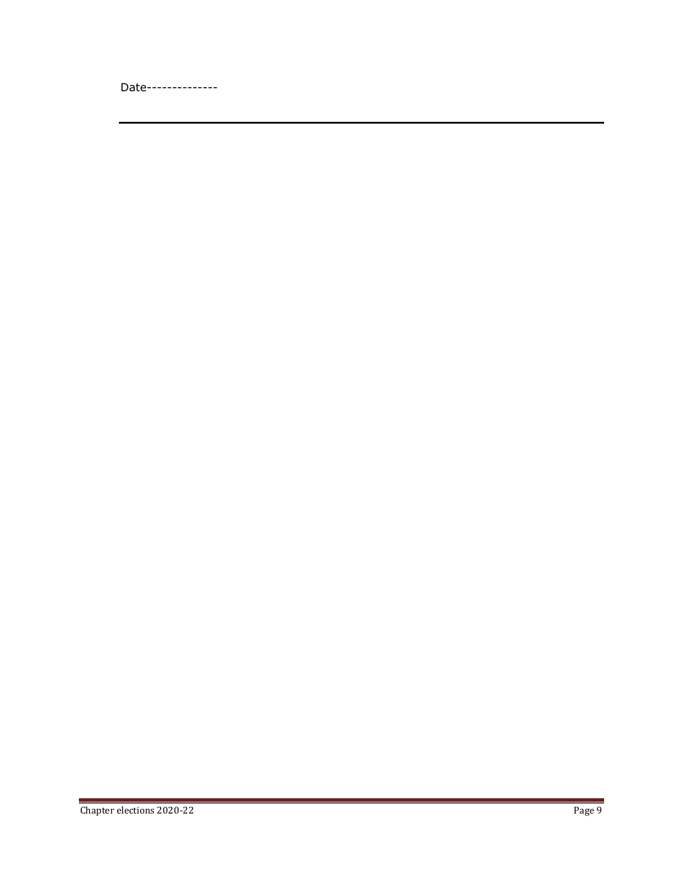Date--------------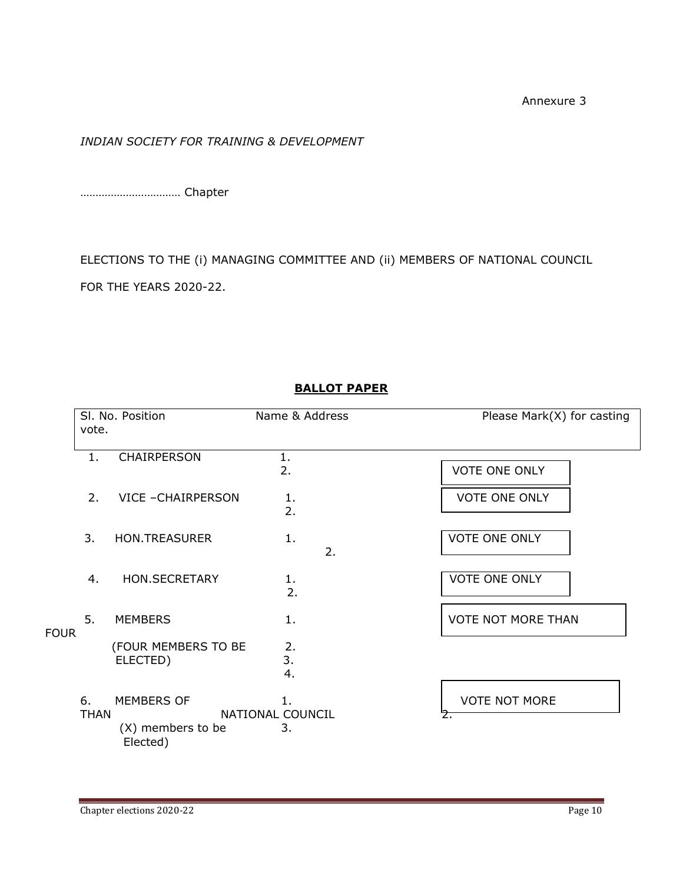Annexure 3

# *INDIAN SOCIETY FOR TRAINING & DEVELOPMENT*

…………………………… Chapter

ELECTIONS TO THE (i) MANAGING COMMITTEE AND (ii) MEMBERS OF NATIONAL COUNCIL FOR THE YEARS 2020-22.

|             | vote.             | SI. No. Position                | Name & Address         | Please Mark(X) for casting |
|-------------|-------------------|---------------------------------|------------------------|----------------------------|
|             | 1.                | CHAIRPERSON                     | 1.<br>2.               | <b>VOTE ONE ONLY</b>       |
|             | 2.                | VICE - CHAIRPERSON              | 1.                     | <b>VOTE ONE ONLY</b>       |
|             |                   |                                 | 2.                     |                            |
|             | 3.                | <b>HON.TREASURER</b>            | 1.<br>2.               | <b>VOTE ONE ONLY</b>       |
|             | 4.                | <b>HON.SECRETARY</b>            | 1.<br>2.               | <b>VOTE ONE ONLY</b>       |
| <b>FOUR</b> | 5.                | <b>MEMBERS</b>                  | 1.                     | <b>VOTE NOT MORE THAN</b>  |
|             |                   | (FOUR MEMBERS TO BE<br>ELECTED) | 2.<br>3.<br>4.         |                            |
|             | 6.<br><b>THAN</b> | MEMBERS OF                      | 1.<br>NATIONAL COUNCIL | <b>VOTE NOT MORE</b><br>Ż. |
|             |                   | (X) members to be<br>Elected)   | 3.                     |                            |

# **BALLOT PAPER**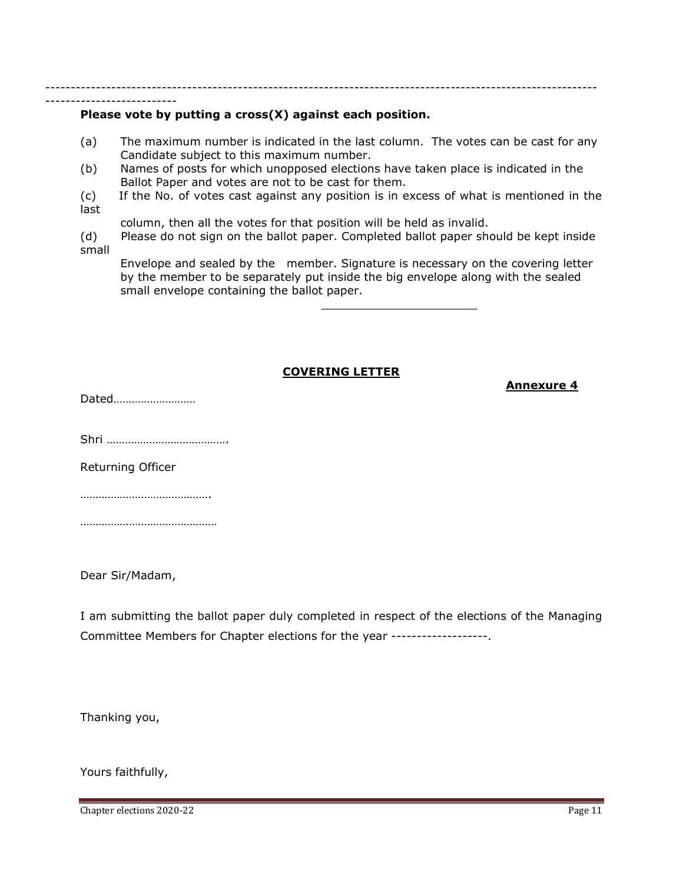-------------------------------------------------------------------------------------------------------------

#### **Please vote by putting a cross(X) against each position.**

- (a) The maximum number is indicated in the last column. The votes can be cast for any Candidate subject to this maximum number.
- (b) Names of posts for which unopposed elections have taken place is indicated in the Ballot Paper and votes are not to be cast for them.
- (c) If the No. of votes cast against any position is in excess of what is mentioned in the last
- column, then all the votes for that position will be held as invalid.

(d) Please do not sign on the ballot paper. Completed ballot paper should be kept inside small

Envelope and sealed by the member. Signature is necessary on the covering letter by the member to be separately put inside the big envelope along with the sealed small envelope containing the ballot paper.

 $\_$ 

#### **COVERING LETTER**

Dated………………………

--------------------------

Shri ………………………………….

Returning Officer

…………………………………………

………………………………………

Dear Sir/Madam,

I am submitting the ballot paper duly completed in respect of the elections of the Managing Committee Members for Chapter elections for the year -------------------.

Thanking you,

Yours faithfully,

Chapter elections 2020-22 Page 11

**Annexure 4**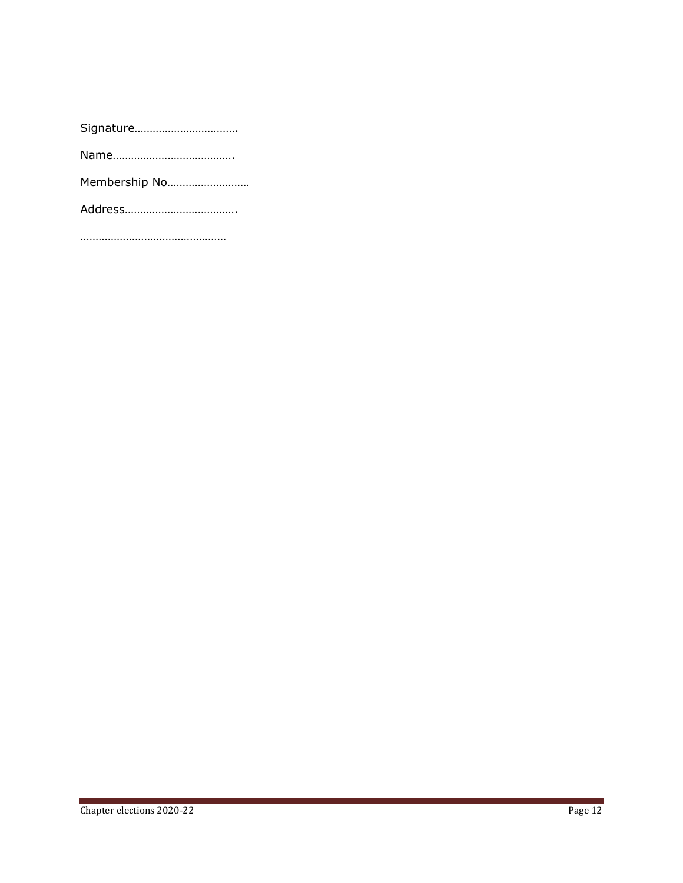…………………………………………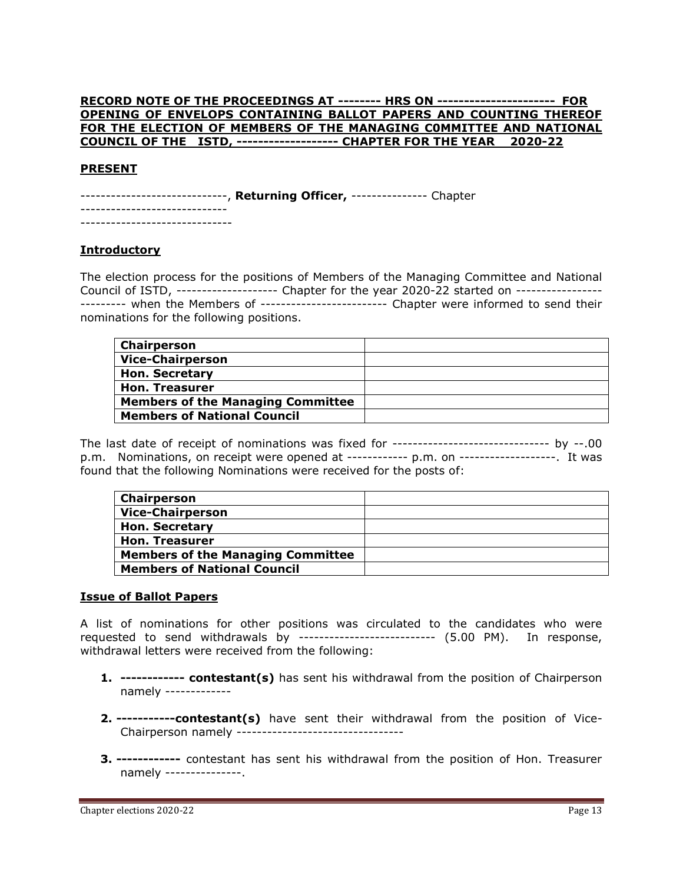#### **RECORD NOTE OF THE PROCEEDINGS AT -------- HRS ON ---------------------- FOR OPENING OF ENVELOPS CONTAINING BALLOT PAPERS AND COUNTING THEREOF FOR THE ELECTION OF MEMBERS OF THE MANAGING C0MMITTEE AND NATIONAL COUNCIL OF THE ISTD, ------------------- CHAPTER FOR THE YEAR 2020-22**

#### **PRESENT**

-----------------------------, **Returning Officer,** --------------- Chapter -----------------------------

------------------------------

#### **Introductory**

The election process for the positions of Members of the Managing Committee and National Council of ISTD, -------------------- Chapter for the year 2020-22 started on ----------------- --------- when the Members of ------------------------- Chapter were informed to send their nominations for the following positions.

| <b>Chairperson</b>                       |  |
|------------------------------------------|--|
| <b>Vice-Chairperson</b>                  |  |
| <b>Hon. Secretary</b>                    |  |
| <b>Hon. Treasurer</b>                    |  |
| <b>Members of the Managing Committee</b> |  |
| <b>Members of National Council</b>       |  |

The last date of receipt of nominations was fixed for ------------------------------- by --.00 p.m. Nominations, on receipt were opened at ------------ p.m. on -------------------. It was found that the following Nominations were received for the posts of:

| Chairperson                              |  |
|------------------------------------------|--|
| <b>Vice-Chairperson</b>                  |  |
| <b>Hon. Secretary</b>                    |  |
| <b>Hon. Treasurer</b>                    |  |
| <b>Members of the Managing Committee</b> |  |
| <b>Members of National Council</b>       |  |

#### **Issue of Ballot Papers**

A list of nominations for other positions was circulated to the candidates who were requested to send withdrawals by --------------------------- (5.00 PM). In response, withdrawal letters were received from the following:

- **1. ------------ contestant(s)** has sent his withdrawal from the position of Chairperson namely -------------
- **2. -----------contestant(s)** have sent their withdrawal from the position of Vice-Chairperson namely ---------------------------------
- **3. ------------** contestant has sent his withdrawal from the position of Hon. Treasurer namely ---------------.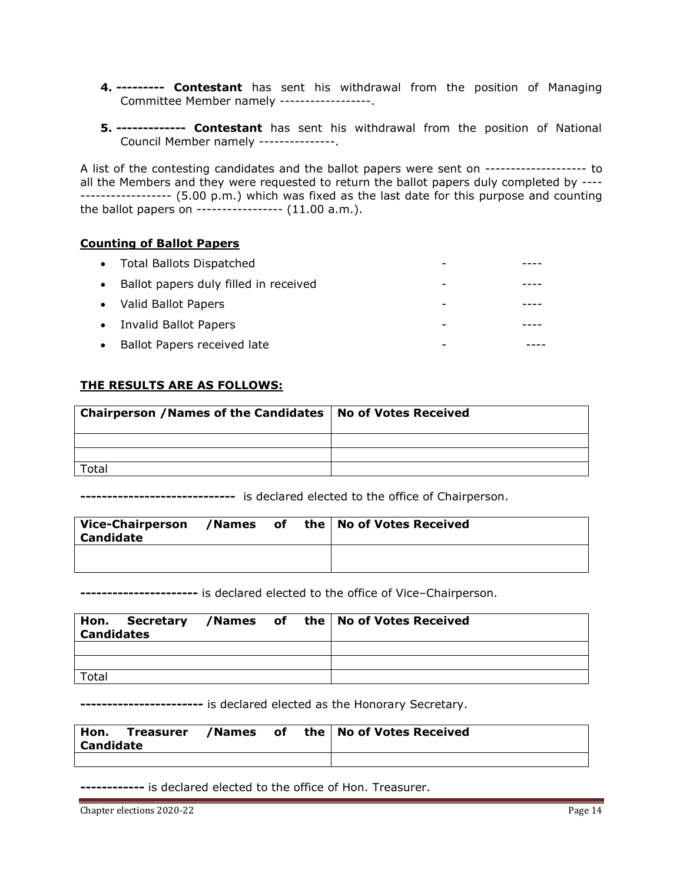- **4. --------- Contestant** has sent his withdrawal from the position of Managing Committee Member namely ------------------.
- **5. ------------- Contestant** has sent his withdrawal from the position of National Council Member namely ---------------.

A list of the contesting candidates and the ballot papers were sent on -------------------- to all the Members and they were requested to return the ballot papers duly completed by ---- ------------------ (5.00 p.m.) which was fixed as the last date for this purpose and counting the ballot papers on ----------------- (11.00 a.m.).

## **Counting of Ballot Papers**

|           | • Total Ballots Dispatched              |   |  |
|-----------|-----------------------------------------|---|--|
|           | • Ballot papers duly filled in received | - |  |
|           | • Valid Ballot Papers                   |   |  |
|           | • Invalid Ballot Papers                 |   |  |
| $\bullet$ | Ballot Papers received late             |   |  |

## **THE RESULTS ARE AS FOLLOWS:**

| <b>Chairperson / Names of the Candidates   No of Votes Received</b> |  |
|---------------------------------------------------------------------|--|
|                                                                     |  |
|                                                                     |  |
| Total                                                               |  |

**-----------------------------** is declared elected to the office of Chairperson.

| Vice-Chairperson<br><b>Candidate</b> |  | /Names of the   No of Votes Received |
|--------------------------------------|--|--------------------------------------|
|                                      |  |                                      |

**----------------------** is declared elected to the office of Vice–Chairperson.

| <b>Candidates</b> |  |  | Hon. Secretary /Names of the No of Votes Received |
|-------------------|--|--|---------------------------------------------------|
|                   |  |  |                                                   |
|                   |  |  |                                                   |
| Total             |  |  |                                                   |

**-----------------------** is declared elected as the Honorary Secretary.

| Hon.             | Treasurer /Names of |  | the   No of Votes Received |
|------------------|---------------------|--|----------------------------|
| <b>Candidate</b> |                     |  |                            |
|                  |                     |  |                            |

**------------** is declared elected to the office of Hon. Treasurer.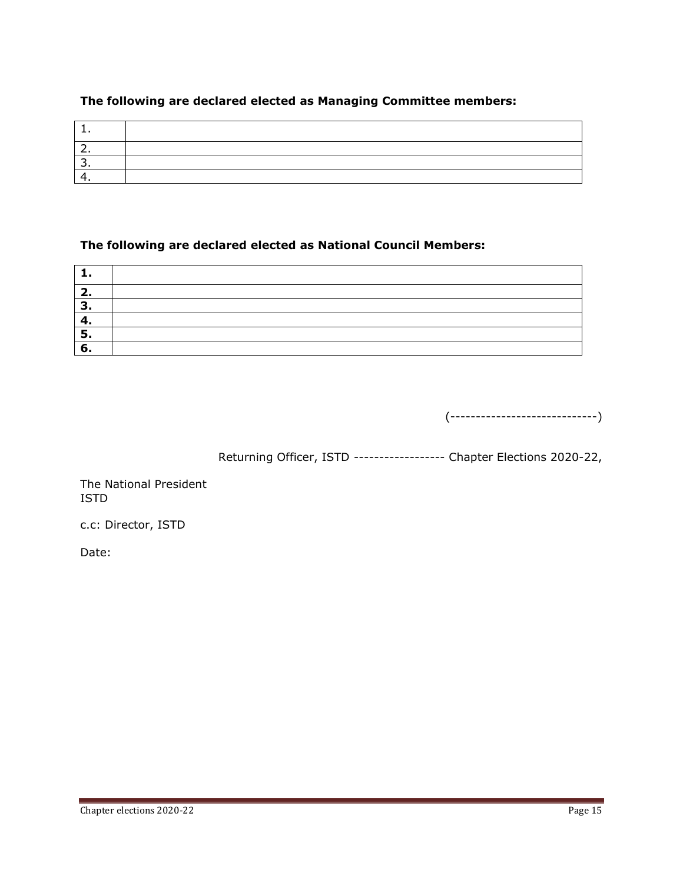# **The following are declared elected as Managing Committee members:**

# **The following are declared elected as National Council Members:**

| − |  |
|---|--|
|   |  |
|   |  |
|   |  |
|   |  |

(-----------------------------)

Returning Officer, ISTD ------------------ Chapter Elections 2020-22,

The National President ISTD

c.c: Director, ISTD

Date: